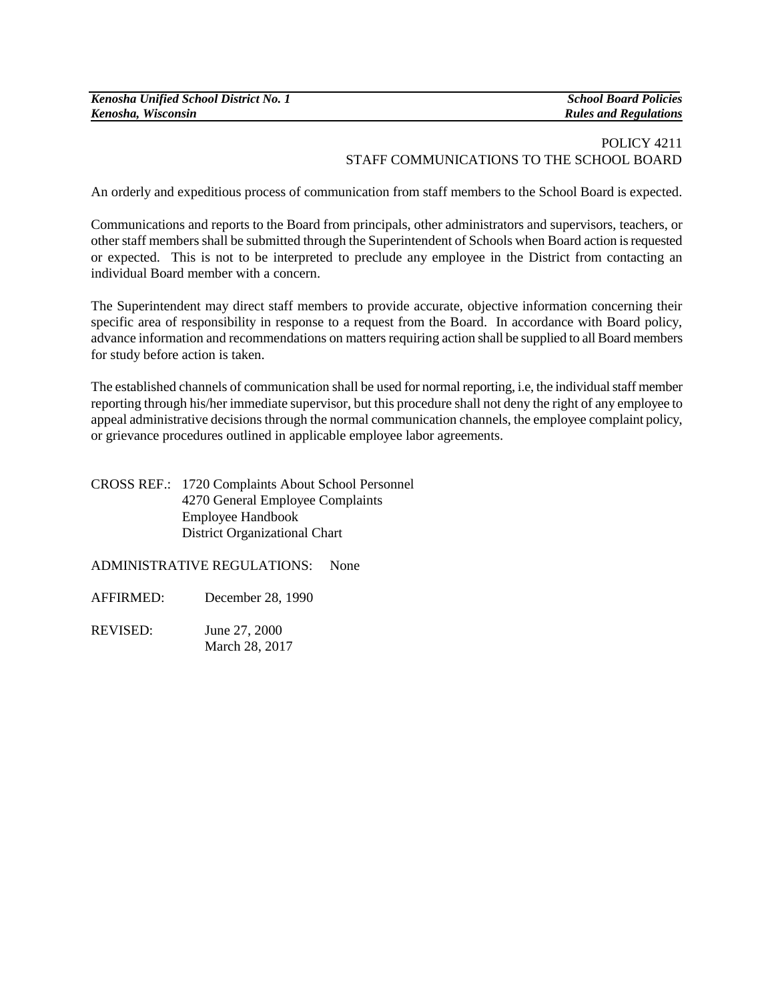| Kenosha Unified School District No. 1 |  |
|---------------------------------------|--|
| Kenosha, Wisconsin                    |  |

*Kenosha Unified School District No. 1 School Board Policies Kenosha, Wisconsin Rules and Regulations*

## POLICY 4211 STAFF COMMUNICATIONS TO THE SCHOOL BOARD

An orderly and expeditious process of communication from staff members to the School Board is expected.

Communications and reports to the Board from principals, other administrators and supervisors, teachers, or other staff members shall be submitted through the Superintendent of Schools when Board action is requested or expected. This is not to be interpreted to preclude any employee in the District from contacting an individual Board member with a concern.

The Superintendent may direct staff members to provide accurate, objective information concerning their specific area of responsibility in response to a request from the Board. In accordance with Board policy, advance information and recommendations on matters requiring action shall be supplied to all Board members for study before action is taken.

The established channels of communication shall be used for normal reporting, i.e, the individual staff member reporting through his/her immediate supervisor, but this procedure shall not deny the right of any employee to appeal administrative decisions through the normal communication channels, the employee complaint policy, or grievance procedures outlined in applicable employee labor agreements.

CROSS REF.: 1720 Complaints About School Personnel 4270 General Employee Complaints Employee Handbook District Organizational Chart

ADMINISTRATIVE REGULATIONS: None

- AFFIRMED: December 28, 1990
- REVISED: June 27, 2000 March 28, 2017